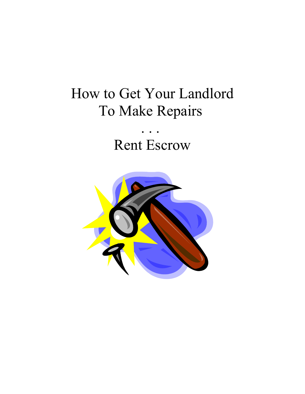### How to Get Your Landlord To Make Repairs

### . . . Rent Escrow

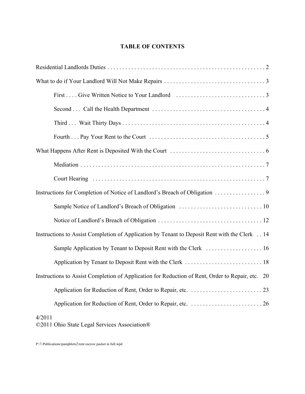#### **TABLE OF CONTENTS**

| Instructions for Completion of Notice of Landlord's Breach of Obligation 9                       |
|--------------------------------------------------------------------------------------------------|
|                                                                                                  |
|                                                                                                  |
| Instructions to Assist Completion of Application by Tenant to Deposit Rent with the Clerk  14    |
| Sample Application by Tenant to Deposit Rent with the Clerk  16                                  |
|                                                                                                  |
| Instructions to Assist Completion of Application for Reduction of Rent, Order to Repair, etc. 20 |
|                                                                                                  |
|                                                                                                  |
| 4/2011<br>©2011 Ohio State Legal Services Association®                                           |

P:\7-Publications\pamphlets2\rent escrow packet in full.wpd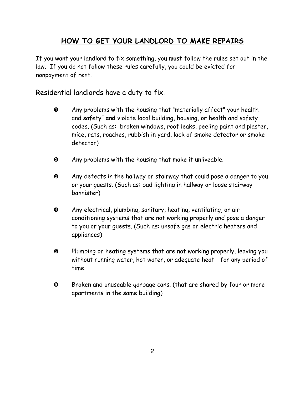#### **HOW TO GET YOUR LANDLORD TO MAKE REPAIRS**

If you want your landlord to fix something, you **must** follow the rules set out in the law. If you do not follow these rules carefully, you could be evicted for nonpayment of rent.

Residential landlords have a duty to fix:

- **O** Any problems with the housing that "materially affect" your health and safety" and violate local building, housing, or health and safety codes. (Such as: broken windows, roof leaks, peeling paint and plaster, mice, rats, roaches, rubbish in yard, lack of smoke detector or smoke detector)
- $\bullet$  Any problems with the housing that make it unliveable.
- ½ Any defects in the hallway or stairway that could pose a danger to you or your guests. (Such as: bad lighting in hallway or loose stairway bannister)
- **4** Any electrical, plumbing, sanitary, heating, ventilating, or air conditioning systems that are not working properly and pose a danger to you or your guests. (Such as: unsafe gas or electric heaters and appliances)
- **6** Plumbing or heating systems that are not working properly, leaving you without running water, hot water, or adequate heat - for any period of time.
- $\Theta$  Broken and unuseable garbage cans. (that are shared by four or more apartments in the same building)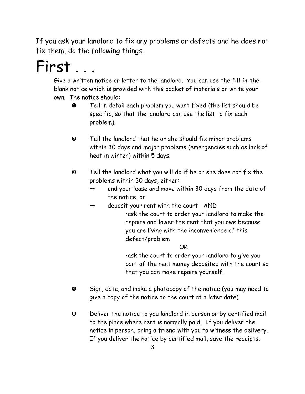If you ask your landlord to fix any problems or defects and he does not fix them, do the following things:

# First ...

Give a written notice or letter to the landlord. You can use the fill-in-theblank notice which is provided with this packet of materials or write your own. The notice should:

- $\bullet$  Tell in detail each problem you want fixed (the list should be specific, so that the landlord can use the list to fix each problem).
- $\odot$  Tell the landlord that he or she should fix minor problems within 30 days and major problems (emergencies such as lack of heat in winter) within 5 days.
- $\odot$  Tell the landlord what you will do if he or she does not fix the problems within 30 days, either:
	- $\rightarrow$  end your lease and move within 30 days from the date of the notice, or
	- $\rightarrow$  deposit your rent with the court AND

rask the court to order your landlord to make the repairs and lower the rent that you owe because you are living with the inconvenience of this defect/problem

OR

.ask the court to order your landlord to give you part of the rent money deposited with the court so that you can make repairs yourself.

- Ò Sign, date, and make a photocopy of the notice (you may need to give a copy of the notice to the court at a later date).
- $\Theta$  Deliver the notice to you landlord in person or by certified mail to the place where rent is normally paid. If you deliver the notice in person, bring a friend with you to witness the delivery. If you deliver the notice by certified mail, save the receipts.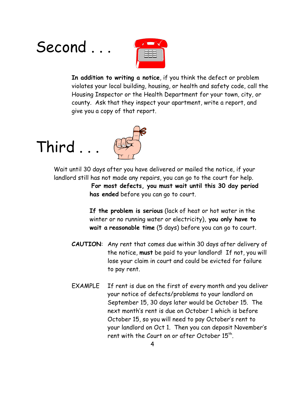## Second ...



**In addition to writing a notice**, if you think the defect or problem violates your local building, housing, or health and safety code, call the Housing Inspector or the Health Department for your town, city, or county. Ask that they inspect your apartment, write a report, and give you a copy of that report.





Wait until 30 days after you have delivered or mailed the notice, if your landlord still has not made any repairs, you can go to the court for help. **For most defects, you must wait until this 30 day period**

**has ended** before you can go to court.

**If the problem is serious** (lack of heat or hot water in the winter or no running water or electricity), **you only have to wait a reasonable time** (5 days) before you can go to court.

- **CAUTION**: Any rent that comes due within 30 days after delivery of the notice, **must** be paid to your landlord! If not, you will lose your claim in court and could be evicted for failure to pay rent.
- EXAMPLE If rent is due on the first of every month and you deliver your notice of defects/problems to your landlord on September 15, 30 days later would be October 15. The next month^s rent is due on October 1 which is before October 15, so you will need to pay October's rent to your landlord on Oct 1. Then you can deposit November^s rent with the Court on or after October  $15<sup>th</sup>$ .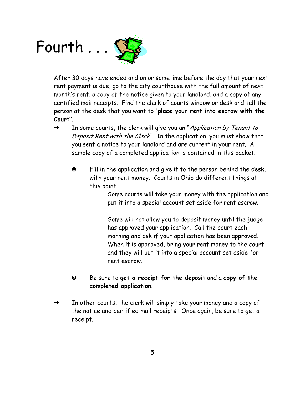# Fourth . . .



After 30 days have ended and on or sometime before the day that your next rent payment is due, go to the city courthouse with the full amount of next month's rent, a copy of the notice given to your landlord, and a copy of any certified mail receipts. Find the clerk of courts window or desk and tell the person at the desk that you want to "place your rent into escrow with the Court".

- $\rightarrow$  In some courts, the clerk will give you an "*Application by Tenant to* Deposit Rent with the Clerk". In the application, you must show that you sent a notice to your landlord and are current in your rent. A sample copy of a completed application is contained in this packet.
	- $\bullet$  Fill in the application and give it to the person behind the desk, with your rent money. Courts in Ohio do different things at this point.

Some courts will take your money with the application and put it into a special account set aside for rent escrow.

Some will not allow you to deposit money until the judge has approved your application. Call the court each morning and ask if your application has been approved. When it is approved, bring your rent money to the court and they will put it into a special account set aside for rent escrow.

- ¼ Be sure to **get a receipt for the deposit** and a **copy of the completed application**.
- $\rightarrow$  In other courts, the clerk will simply take your money and a copy of the notice and certified mail receipts. Once again, be sure to get a receipt.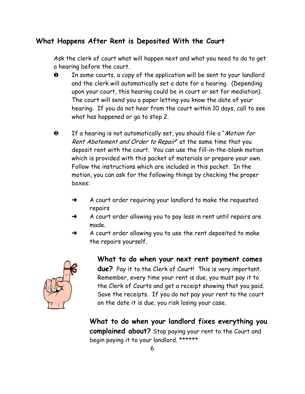#### **What Happens After Rent is Deposited With the Court**

Ask the clerk of court what will happen next and what you need to do to get a hearing before the court.

- $\bullet$  In some courts, a copy of the application will be sent to your landlord and the clerk will automatically set a date for a hearing. (Depending upon your court, this hearing could be in court or set for mediation). The court will send you a paper letting you know the date of your hearing. If you do not hear from the court within 10 days, call to see what has happened or go to step 2.
- <sup>2</sup> If a hearing is not automatically set, you should file a "Motion for Rent Abatement and Order to Repair" at the same time that you deposit rent with the court. You can use the fill-in-the-blank motion which is provided with this packet of materials or prepare your own. Follow the instructions which are included in this packet. In the motion, you can ask for the following things by checking the proper boxes:
	- $\rightarrow$  A court order requiring your landlord to make the requested repairs
	- $\rightarrow$  A court order allowing you to pay less in rent until repairs are made.
	- A court order allowing you to use the rent deposited to make the repairs yourself.



**What to do when your next rent payment comes due?** Pay it to the Clerk of Court! This is very important. Remember, every time your rent is due, you must pay it to the Clerk of Courts and get a receipt showing that you paid. Save the receipts. If you do not pay your rent to the court on the date it is due, you risk losing your case.

**What to do when your landlord fixes everything you complained about?** Stop paying your rent to the Court and begin paying it to your landlord. \*\*\*\*\*\*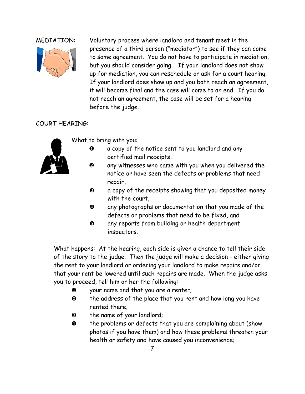

MEDIATION: Voluntary process where landlord and tenant meet in the presence of a third person ("mediator") to see if they can come to some agreement. You do not have to participate in mediation, but you should consider going. If your landlord does not show up for mediation, you can reschedule or ask for a court hearing. If your landlord does show up and you both reach an agreement, it will become final and the case will come to an end. If you do not reach an agreement, the case will be set for a hearing before the judge.

#### COURT HEARING:



What to bring with you:

- » a copy of the notice sent to you landlord and any certified mail receipts,
- $\odot$  any witnesses who came with you when you delivered the notice or have seen the defects or problems that need repair,
- $\theta$  a copy of the receipts showing that you deposited money with the court,
- ¾ any photographs or documentation that you made of the defects or problems that need to be fixed, and
- $\Theta$  any reports from building or health department inspectors.

What happens: At the hearing, each side is given a chance to tell their side of the story to the judge. Then the judge will make a decision - either giving the rent to your landlord or ordering your landlord to make repairs and/or that your rent be lowered until such repairs are made. When the judge asks you to proceed, tell him or her the following:

- $\bullet$  your name and that you are a renter;
- **2** the address of the place that you rent and how long you have rented there;
- **8** the name of your landlord;
- ¾ the problems or defects that you are complaining about (show photos if you have them) and how these problems threaten your health or safety and have caused you inconvenience;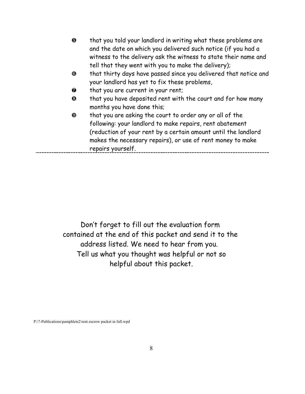| $\boldsymbol{\Theta}$ | that you told your landlord in writing what these problems are   |
|-----------------------|------------------------------------------------------------------|
|                       | and the date on which you delivered such notice (if you had a    |
|                       | witness to the delivery ask the witness to state their name and  |
|                       | tell that they went with you to make the delivery);              |
| $\bf \bm \Theta$      | that thirty days have passed since you delivered that notice and |
|                       | your landlord has yet to fix these problems,                     |
| 0                     | that you are current in your rent;                               |
| $\bf \odot$           | that you have deposited rent with the court and for how many     |
|                       | months you have done this;                                       |
| $\boldsymbol{\Theta}$ | that you are asking the court to order any or all of the         |
|                       | following: your landlord to make repairs, rent abatement         |
|                       | (reduction of your rent by a certain amount until the landlord   |
|                       | makes the necessary repairs), or use of rent money to make       |
|                       | repairs yourself.                                                |

Don^t forget to fill out the evaluation form contained at the end of this packet and send it to the address listed. We need to hear from you. Tell us what you thought was helpful or not so helpful about this packet.

P:\7-Publications\pamphlets2\rent escrow packet in full.wpd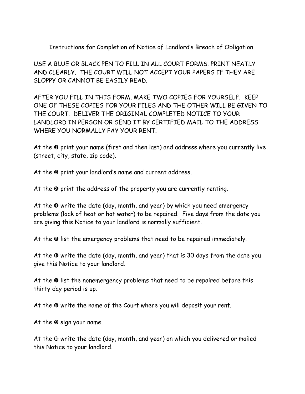Instructions for Completion of Notice of Landlord^s Breach of Obligation

USE A BLUE OR BLACK PEN TO FILL IN ALL COURT FORMS. PRINT NEATLY AND CLEARLY. THE COURT WILL NOT ACCEPT YOUR PAPERS IF THEY ARE SLOPPY OR CANNOT BE EASILY READ.

AFTER YOU FILL IN THIS FORM, MAKE TWO COPIES FOR YOURSELF. KEEP ONE OF THESE COPIES FOR YOUR FILES AND THE OTHER WILL BE GIVEN TO THE COURT. DELIVER THE ORIGINAL COMPLETED NOTICE TO YOUR LANDLORD IN PERSON OR SEND IT BY CERTIFIED MAIL TO THE ADDRESS WHERE YOU NORMALLY PAY YOUR RENT.

At the  $\bf{0}$  print your name (first and then last) and address where you currently live (street, city, state, zip code).

At the  $\Theta$  print your landlord's name and current address.

At the  $\Theta$  print the address of the property you are currently renting.

At the  $\Phi$  write the date (day, month, and year) by which you need emergency problems (lack of heat or hot water) to be repaired. Five days from the date you are giving this Notice to your landlord is normally sufficient.

At the  $\Theta$  list the emergency problems that need to be repaired immediately.

At the  $\Theta$  write the date (day, month, and year) that is 30 days from the date you give this Notice to your landlord.

At the  $\odot$  list the nonemergency problems that need to be repaired before this thirty day period is up.

At the <sup>®</sup> write the name of the Court where you will deposit your rent.

At the  $\Theta$  sign your name.

At the  $\Phi$  write the date (day, month, and year) on which you delivered or mailed this Notice to your landlord.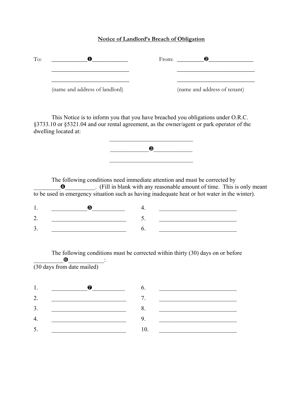#### **Notice of Landlord's Breach of Obligation**

| To: |                                | From:<br>2                   |  |
|-----|--------------------------------|------------------------------|--|
|     |                                |                              |  |
|     | (name and address of landlord) | (name and address of tenant) |  |

This Notice is to inform you that you have breached you obligations under O.R.C. §3733.10 or §5321.04 and our rental agreement, as the owner/agent or park operator of the dwelling located at:



The following conditions need immediate attention and must be corrected by \_\_\_\_\_\_\_\_\_¾\_\_\_\_\_\_\_\_\_\_. (Fill in blank with any reasonable amount of time. This is only meant to be used in emergency situation such as having inadequate heat or hot water in the winter).

The following conditions must be corrected within thirty (30) days on or before  $\bullet$   $\qquad$  : (30 days from date mailed)

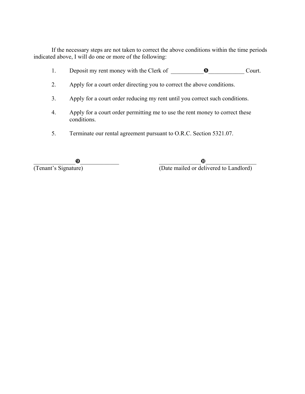If the necessary steps are not taken to correct the above conditions within the time periods indicated above, I will do one or more of the following:

- 1. Deposit my rent money with the Clerk of  $\qquad \qquad \bullet$  Court.
- 2. Apply for a court order directing you to correct the above conditions.
- 3. Apply for a court order reducing my rent until you correct such conditions.
- 4. Apply for a court order permitting me to use the rent money to correct these conditions.
- 5. Terminate our rental agreement pursuant to O.R.C. Section 5321.07.

\_\_\_\_\_\_\_\_\_\_\_\_\_\_Ã\_\_\_\_\_\_\_\_\_\_\_\_\_ \_\_\_\_\_\_\_\_\_\_\_\_\_\_Ä\_\_\_\_\_\_\_\_\_\_\_\_\_\_\_\_\_ (Tenant's Signature) (Date mailed or delivered to Landlord)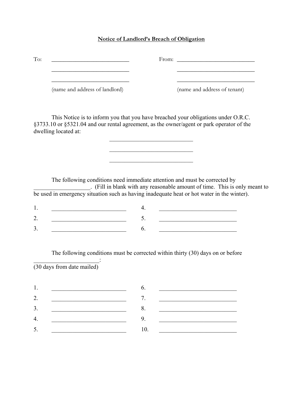#### **Notice of Landlord's Breach of Obligation**

| To: |                                |                              |
|-----|--------------------------------|------------------------------|
|     | (name and address of landlord) | (name and address of tenant) |

This Notice is to inform you that you have breached your obligations under O.R.C. §3733.10 or §5321.04 and our rental agreement, as the owner/agent or park operator of the dwelling located at:

The following conditions need immediate attention and must be corrected by \_\_\_\_\_\_\_\_\_\_\_\_\_\_\_\_\_\_\_. (Fill in blank with any reasonable amount of time. This is only meant to be used in emergency situation such as having inadequate heat or hot water in the winter).

 $\mathcal{L}_\text{max}$ 

 $\overline{\phantom{a}}$  , where  $\overline{\phantom{a}}$  , where  $\overline{\phantom{a}}$  , where  $\overline{\phantom{a}}$ \_\_\_\_\_\_\_\_\_\_\_\_\_\_\_\_\_\_\_\_\_\_\_\_\_\_\_\_

The following conditions must be corrected within thirty (30) days on or before

 $\mathcal{L}_\text{max}$  and  $\mathcal{L}_\text{max}$  and  $\mathcal{L}_\text{max}$ (30 days from date mailed)

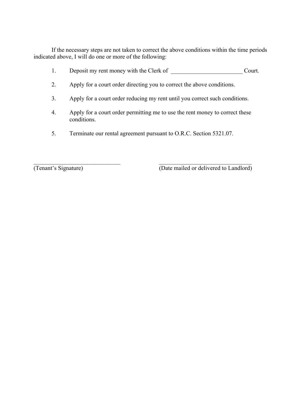If the necessary steps are not taken to correct the above conditions within the time periods indicated above, I will do one or more of the following:

- 1. Deposit my rent money with the Clerk of \_\_\_\_\_\_\_\_\_\_\_\_\_\_\_\_\_\_\_\_\_\_\_\_ Court.
- 2. Apply for a court order directing you to correct the above conditions.
- 3. Apply for a court order reducing my rent until you correct such conditions.
- 4. Apply for a court order permitting me to use the rent money to correct these conditions.
- 5. Terminate our rental agreement pursuant to O.R.C. Section 5321.07.

 $\mathcal{L}_\text{max}$  , and the contribution of the contribution of the contribution of the contribution of the contribution of the contribution of the contribution of the contribution of the contribution of the contribution of t

(Tenant's Signature) (Date mailed or delivered to Landlord)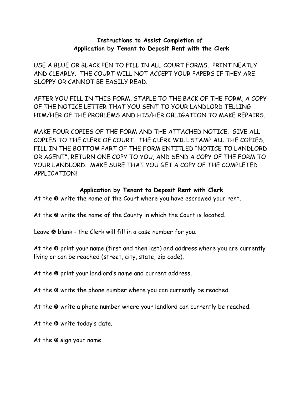#### **Instructions to Assist Completion of Application by Tenant to Deposit Rent with the Clerk**

USE A BLUE OR BLACK PEN TO FILL IN ALL COURT FORMS. PRINT NEATLY AND CLEARLY. THE COURT WILL NOT ACCEPT YOUR PAPERS IF THEY ARE SLOPPY OR CANNOT BE EASILY READ.

AFTER YOU FILL IN THIS FORM, STAPLE TO THE BACK OF THE FORM, A COPY OF THE NOTICE LETTER THAT YOU SENT TO YOUR LANDLORD TELLING HIM/HER OF THE PROBLEMS AND HIS/HER OBLIGATION TO MAKE REPAIRS.

MAKE FOUR COPIES OF THE FORM AND THE ATTACHED NOTICE. GIVE ALL COPIES TO THE CLERK OF COURT. THE CLERK WILL STAMP ALL THE COPIES, FILL IN THE BOTTOM PART OF THE FORM ENTITLED "NOTICE TO LANDLORD OR AGENT?, RETURN ONE COPY TO YOU, AND SEND A COPY OF THE FORM TO YOUR LANDLORD. MAKE SURE THAT YOU GET A COPY OF THE COMPLETED APPLICATION!

#### **Application by Tenant to Deposit Rent with Clerk**

At the  $\mathbf 0$  write the name of the Court where you have escrowed your rent.

At the  $\Theta$  write the name of the County in which the Court is located.

Leave  $\Theta$  blank - the Clerk will fill in a case number for you.

At the  $\odot$  print your name (first and then last) and address where you are currently living or can be reached (street, city, state, zip code).

At the  $\Theta$  print your landlord's name and current address.

At the  $\Theta$  write the phone number where you can currently be reached.

At the  $\odot$  write a phone number where your landlord can currently be reached.

At the  $\Theta$  write today's date.

At the  $\Theta$  sign your name.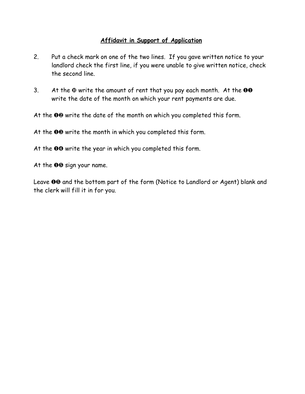#### **Affidavit in Support of Application**

- 2. Put a check mark on one of the two lines. If you gave written notice to your landlord check the first line, if you were unable to give written notice, check the second line.
- 3. At the  $\Phi$  write the amount of rent that you pay each month. At the  $\Theta\Theta$ write the date of the month on which your rent payments are due.

At the  $00$  write the date of the month on which you completed this form.

At the  $\bullet\bullet$  write the month in which you completed this form.

At the <sup>OO</sup> write the year in which you completed this form.

At the  **sign your name.** 

Leave <sup>O</sup>O and the bottom part of the form (Notice to Landlord or Agent) blank and the clerk will fill it in for you.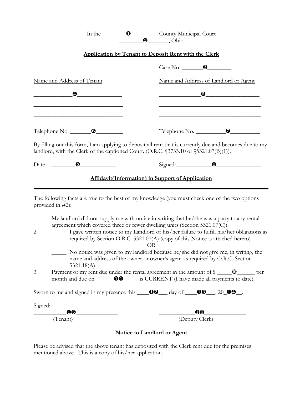|                                                                                               | In the <b>O</b> County Municipal Court                                                                                                                                                                                                                                                                                                                                                                                                                                                                                                      |
|-----------------------------------------------------------------------------------------------|---------------------------------------------------------------------------------------------------------------------------------------------------------------------------------------------------------------------------------------------------------------------------------------------------------------------------------------------------------------------------------------------------------------------------------------------------------------------------------------------------------------------------------------------|
|                                                                                               | <b>Application by Tenant to Deposit Rent with the Clerk</b>                                                                                                                                                                                                                                                                                                                                                                                                                                                                                 |
|                                                                                               | $\cos N$ o. $\qquad \qquad \bullet$                                                                                                                                                                                                                                                                                                                                                                                                                                                                                                         |
| Name and Address of Tenant                                                                    | Name and Address of Landlord or Agent                                                                                                                                                                                                                                                                                                                                                                                                                                                                                                       |
| $\bullet$ . The set of $\bullet$ is the set of $\bullet$                                      |                                                                                                                                                                                                                                                                                                                                                                                                                                                                                                                                             |
| Telephone No: 0                                                                               |                                                                                                                                                                                                                                                                                                                                                                                                                                                                                                                                             |
| landlord, with the Clerk of the captioned Court. (O.R.C. $\S$ 3733.10 or $\S$ 5321.07(B)(1)). | By filling out this form, I am applying to deposit all rent that is currently due and becomes due to my                                                                                                                                                                                                                                                                                                                                                                                                                                     |
| Date $\qquad \qquad \bullet$                                                                  | $Signal: \qquad \qquad \bullet$                                                                                                                                                                                                                                                                                                                                                                                                                                                                                                             |
|                                                                                               | <b>Affidavit(Information) in Support of Application</b>                                                                                                                                                                                                                                                                                                                                                                                                                                                                                     |
| provided in #2):                                                                              | The following facts are true to the best of my knowledge (you must check one of the two options                                                                                                                                                                                                                                                                                                                                                                                                                                             |
| 1.<br>2.                                                                                      | My landlord did not supply me with notice in writing that he/she was a party to any rental<br>agreement which covered three or fewer dwelling units (Section 5321.07(C)).<br>I gave written notice to my Landlord of his/her failure to fulfill his/her obligations as<br>required by Section O.R.C. 5321.07(A) (copy of this Notice is attached hereto)<br><b>OR</b><br>No notice was given to my landlord because he/she did not give me, in writing, the<br>name and address of the owner or owner's agent as required by O.R.C. Section |
| $5321.18(A)$ .<br>3.                                                                          |                                                                                                                                                                                                                                                                                                                                                                                                                                                                                                                                             |
|                                                                                               | Sworn to me and signed in my presence this $\_\_\_\_\_\_\$ day of $\_\_\_\_\_\_\_\_\_\_\_\_\$ . 20 $\_\_\_\_\_\_\_\_\_\_\_\,.$                                                                                                                                                                                                                                                                                                                                                                                                              |
| Signed:                                                                                       |                                                                                                                                                                                                                                                                                                                                                                                                                                                                                                                                             |
| 00<br>(Tenant)                                                                                | (Deputy Clerk)                                                                                                                                                                                                                                                                                                                                                                                                                                                                                                                              |
|                                                                                               | <b>Notice to Landlord or Agent</b>                                                                                                                                                                                                                                                                                                                                                                                                                                                                                                          |

Please be advised that the above tenant has deposited with the Clerk rent due for the premises mentioned above. This is a copy of his/her application.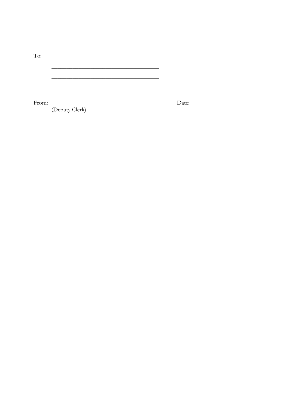| To:   |  |
|-------|--|
|       |  |
|       |  |
|       |  |
|       |  |
|       |  |
| From: |  |

Date:

(Deputy Clerk)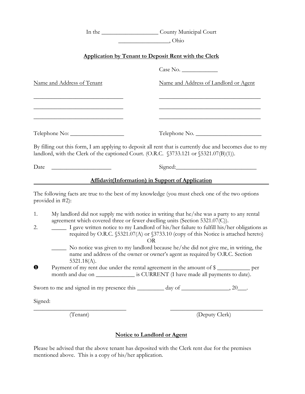In the \_\_\_\_\_\_\_\_\_\_\_\_\_\_\_\_\_\_\_ County Municipal Court \_\_\_\_\_\_\_\_\_\_\_\_\_\_\_\_\_, Ohio **Application by Tenant to Deposit Rent with the Clerk** Case No. Name and Address of Tenant Name and Address of Landlord or Agent  $\overline{\phantom{a}}$  , and the contract of the contract of the contract of the contract of the contract of the contract of the contract of the contract of the contract of the contract of the contract of the contract of the contrac  $\overline{\phantom{a}}$  , and the contract of the contract of the contract of the contract of the contract of the contract of the contract of the contract of the contract of the contract of the contract of the contract of the contrac  $\overline{\phantom{a}}$  , and the contract of the contract of the contract of the contract of the contract of the contract of the contract of the contract of the contract of the contract of the contract of the contract of the contrac Telephone No: \_\_\_\_\_\_\_\_\_\_\_\_\_\_\_\_\_\_ Telephone No. \_\_\_\_\_\_\_\_\_\_\_\_\_\_\_\_\_\_\_\_\_\_ By filling out this form, I am applying to deposit all rent that is currently due and becomes due to my landlord, with the Clerk of the captioned Court. (O.R.C. §3733.121 or §5321.07(B)(1)). Date \_\_\_\_\_\_\_\_\_\_\_\_\_\_\_\_\_\_\_\_ Signed:\_\_\_\_\_\_\_\_\_\_\_\_\_\_\_\_\_\_\_\_\_\_\_\_\_\_\_ **Affidavit(Information) in Support of Application** The following facts are true to the best of my knowledge (you must check one of the two options provided in #2): 1. My landlord did not supply me with notice in writing that he/she was a party to any rental agreement which covered three or fewer dwelling units (Section 5321.07(C)). 2.  $\Box$  I gave written notice to my Landlord of his/her failure to fulfill his/her obligations as required by O.R.C. §5321.07(A) or §3733.10 (copy of this Notice is attached hereto) OR \_\_\_\_\_ No notice was given to my landlord because he/she did not give me, in writing, the name and address of the owner or owner's agent as required by O.R.C. Section 5321.18(A). » Payment of my rent due under the rental agreement in the amount of \$ \_\_\_\_\_\_\_\_\_\_\_ per month and due on  $\qquad \qquad$  is CURRENT (I have made all payments to date). Sworn to me and signed in my presence this  $\frac{1}{20}$  day of  $\frac{1}{20}$ . Signed: \_\_\_\_\_\_\_\_\_\_\_\_\_\_\_\_\_\_\_\_\_\_\_\_\_\_\_\_\_\_\_ \_\_\_\_\_\_\_\_\_\_\_\_\_\_\_\_\_\_\_\_\_\_\_\_\_\_\_\_\_\_\_

(Tenant) (Deputy Clerk)

#### **Notice to Landlord or Agent**

Please be advised that the above tenant has deposited with the Clerk rent due for the premises mentioned above. This is a copy of his/her application.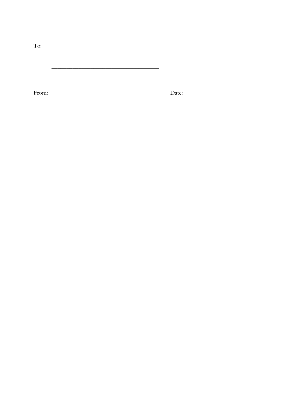| To:   |       |
|-------|-------|
|       |       |
|       |       |
|       |       |
|       |       |
|       |       |
| From: | Date: |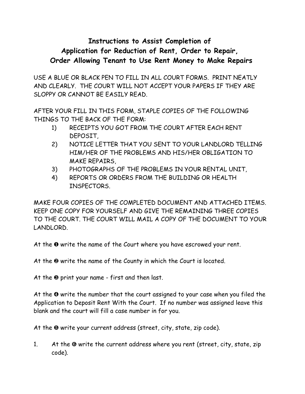### **Instructions to Assist Completion of Application for Reduction of Rent, Order to Repair, Order Allowing Tenant to Use Rent Money to Make Repairs**

USE A BLUE OR BLACK PEN TO FILL IN ALL COURT FORMS. PRINT NEATLY AND CLEARLY. THE COURT WILL NOT ACCEPT YOUR PAPERS IF THEY ARE SLOPPY OR CANNOT BE EASILY READ.

AFTER YOUR FILL IN THIS FORM, STAPLE COPIES OF THE FOLLOWING THINGS TO THE BACK OF THE FORM:

- 1) RECEIPTS YOU GOT FROM THE COURT AFTER EACH RENT DEPOSIT,
- 2) NOTICE LETTER THAT YOU SENT TO YOUR LANDLORD TELLING HIM/HER OF THE PROBLEMS AND HIS/HER OBLIGATION TO MAKE REPAIRS,
- 3) PHOTOGRAPHS OF THE PROBLEMS IN YOUR RENTAL UNIT,
- 4) REPORTS OR ORDERS FROM THE BUILDING OR HEALTH INSPECTORS.

MAKE FOUR COPIES OF THE COMPLETED DOCUMENT AND ATTACHED ITEMS. KEEP ONE COPY FOR YOURSELF AND GIVE THE REMAINING THREE COPIES TO THE COURT. THE COURT WILL MAIL A COPY OF THE DOCUMENT TO YOUR LANDLORD.

At the  $\bullet$  write the name of the Court where you have escrowed your rent.

At the  $\Theta$  write the name of the County in which the Court is located.

At the  $\Theta$  print your name - first and then last.

At the  $\Phi$  write the number that the court assigned to your case when you filed the Application to Deposit Rent With the Court. If no number was assigned leave this blank and the court will fill a case number in for you.

At the  $\Theta$  write your current address (street, city, state, zip code).

1. At the  $\Theta$  write the current address where you rent (street, city, state, zip code).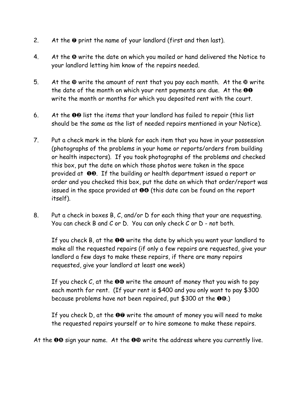- 2. At the  $\odot$  print the name of your landlord (first and then last).
- 4. At the <sup>®</sup> write the date on which you mailed or hand delivered the Notice to your landlord letting him know of the repairs needed.
- 5. At the  $\Omega$  write the amount of rent that you pay each month. At the  $\Omega$  write the date of the month on which your rent payments are due. At the  $\overline{00}$ write the month or months for which you deposited rent with the court.
- 6. At the  $\bullet\bullet$  list the items that your landlord has failed to repair (this list should be the same as the list of needed repairs mentioned in your Notice).
- 7. Put a check mark in the blank for each item that you have in your possession (photographs of the problems in your home or reports/orders from building or health inspectors). If you took photographs of the problems and checked this box, put the date on which those photos were taken in the space provided at  $\bullet\bullet$ . If the building or health department issued a report or order and you checked this box, put the date on which that order/report was issued in the space provided at  $\mathbf{0}\mathbf{0}$  (this date can be found on the report itself).
- 8. Put a check in boxes B, C, and/or D for each thing that your are requesting. You can check B and C or D. You can only check C or D - not both.

If you check B, at the  $\bullet\bullet$  write the date by which you want your landlord to make all the requested repairs (if only a few repairs are requested, give your landlord a few days to make these repairs, if there are many repairs requested, give your landlord at least one week)

If you check  $C$ , at the  $\bullet\bullet$  write the amount of money that you wish to pay each month for rent. (If your rent is \$400 and you only want to pay \$300 because problems have not been repaired, put  $$300$  at the  $@0$ .)

If you check  $D$ , at the  $O\Theta$  write the amount of money you will need to make the requested repairs yourself or to hire someone to make these repairs.

At the  $\mathbf{0}\mathbf{\Omega}$  sign your name. At the  $\mathbf{0}\mathbf{\Omega}$  write the address where you currently live.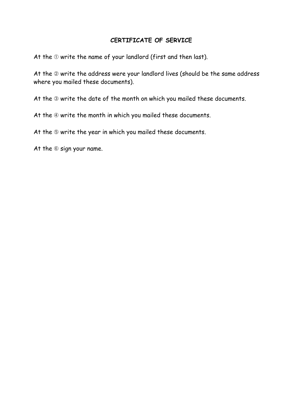#### **CERTIFICATE OF SERVICE**

At the  $\mathbb D$  write the name of your landlord (first and then last).

At the 2 write the address were your landlord lives (should be the same address where you mailed these documents).

At the  $\circledcirc$  write the date of the month on which you mailed these documents.

At the  $\Phi$  write the month in which you mailed these documents.

At the  $\circledcirc$  write the year in which you mailed these documents.

At the  $@$  sign your name.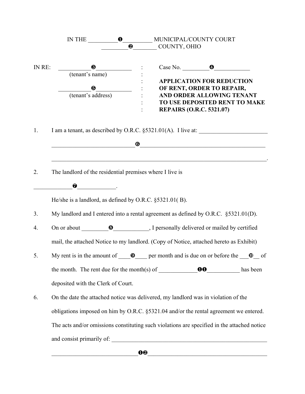| IN THE       | $\mathbf{0}_{\mathsf{L}}$ |                                                                             |                                                                                                                     |                                                                                                                                                                                                                                                                                                                                                                                                                                                                                                                                                                                                                                                                                                                                                                                                                                                                                                                                                                                                                            |
|--------------|---------------------------|-----------------------------------------------------------------------------|---------------------------------------------------------------------------------------------------------------------|----------------------------------------------------------------------------------------------------------------------------------------------------------------------------------------------------------------------------------------------------------------------------------------------------------------------------------------------------------------------------------------------------------------------------------------------------------------------------------------------------------------------------------------------------------------------------------------------------------------------------------------------------------------------------------------------------------------------------------------------------------------------------------------------------------------------------------------------------------------------------------------------------------------------------------------------------------------------------------------------------------------------------|
|              | ❷                         |                                                                             |                                                                                                                     |                                                                                                                                                                                                                                                                                                                                                                                                                                                                                                                                                                                                                                                                                                                                                                                                                                                                                                                                                                                                                            |
| $\bf \Theta$ |                           |                                                                             |                                                                                                                     |                                                                                                                                                                                                                                                                                                                                                                                                                                                                                                                                                                                                                                                                                                                                                                                                                                                                                                                                                                                                                            |
|              | $\bf \odot$               |                                                                             |                                                                                                                     |                                                                                                                                                                                                                                                                                                                                                                                                                                                                                                                                                                                                                                                                                                                                                                                                                                                                                                                                                                                                                            |
| 0            |                           |                                                                             |                                                                                                                     |                                                                                                                                                                                                                                                                                                                                                                                                                                                                                                                                                                                                                                                                                                                                                                                                                                                                                                                                                                                                                            |
|              |                           |                                                                             |                                                                                                                     |                                                                                                                                                                                                                                                                                                                                                                                                                                                                                                                                                                                                                                                                                                                                                                                                                                                                                                                                                                                                                            |
|              |                           |                                                                             |                                                                                                                     |                                                                                                                                                                                                                                                                                                                                                                                                                                                                                                                                                                                                                                                                                                                                                                                                                                                                                                                                                                                                                            |
|              |                           |                                                                             |                                                                                                                     |                                                                                                                                                                                                                                                                                                                                                                                                                                                                                                                                                                                                                                                                                                                                                                                                                                                                                                                                                                                                                            |
|              |                           |                                                                             |                                                                                                                     |                                                                                                                                                                                                                                                                                                                                                                                                                                                                                                                                                                                                                                                                                                                                                                                                                                                                                                                                                                                                                            |
|              |                           |                                                                             |                                                                                                                     |                                                                                                                                                                                                                                                                                                                                                                                                                                                                                                                                                                                                                                                                                                                                                                                                                                                                                                                                                                                                                            |
|              |                           |                                                                             |                                                                                                                     |                                                                                                                                                                                                                                                                                                                                                                                                                                                                                                                                                                                                                                                                                                                                                                                                                                                                                                                                                                                                                            |
|              |                           |                                                                             |                                                                                                                     |                                                                                                                                                                                                                                                                                                                                                                                                                                                                                                                                                                                                                                                                                                                                                                                                                                                                                                                                                                                                                            |
|              |                           |                                                                             |                                                                                                                     |                                                                                                                                                                                                                                                                                                                                                                                                                                                                                                                                                                                                                                                                                                                                                                                                                                                                                                                                                                                                                            |
|              |                           |                                                                             |                                                                                                                     |                                                                                                                                                                                                                                                                                                                                                                                                                                                                                                                                                                                                                                                                                                                                                                                                                                                                                                                                                                                                                            |
|              |                           |                                                                             |                                                                                                                     |                                                                                                                                                                                                                                                                                                                                                                                                                                                                                                                                                                                                                                                                                                                                                                                                                                                                                                                                                                                                                            |
|              |                           |                                                                             |                                                                                                                     |                                                                                                                                                                                                                                                                                                                                                                                                                                                                                                                                                                                                                                                                                                                                                                                                                                                                                                                                                                                                                            |
|              |                           | (tenant's name)<br>(tenant's address)<br>deposited with the Clerk of Court. | The landlord of the residential premises where I live is<br>He/she is a landlord, as defined by O.R.C. §5321.01(B). | MUNICIPAL/COUNTY COURT<br>COUNTY, OHIO<br>Case No. $\qquad \qquad \bullet$<br><b>APPLICATION FOR REDUCTION</b><br>OF RENT, ORDER TO REPAIR,<br>AND ORDER ALLOWING TENANT<br>TO USE DEPOSITED RENT TO MAKE<br><b>REPAIRS (O.R.C. 5321.07)</b><br><u> 1989 - Johann Barbara, martin amerikan basar dan basa dan basa dan basa dalam basa dalam basa dalam basa dan</u><br>My landlord and I entered into a rental agreement as defined by O.R.C. §5321.01(D).<br>mail, the attached Notice to my landlord. (Copy of Notice, attached hereto as Exhibit)<br>My rent is in the amount of $\Box$ $\Theta$ per month and is due on or before the $\Box$ of<br>the month. The rent due for the month(s) of $\qquad \qquad \bullet \bullet$ has been<br>On the date the attached notice was delivered, my landlord was in violation of the<br>obligations imposed on him by O.R.C. §5321.04 and/or the rental agreement we entered.<br>The acts and/or omissions constituting such violations are specified in the attached notice |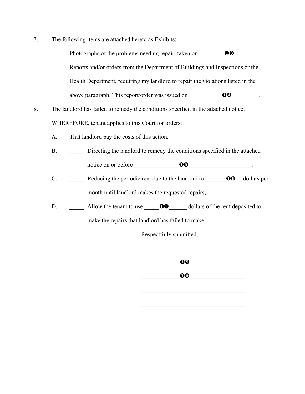- 7. The following items are attached hereto as Exhibits:
	- Photographs of the problems needing repair, taken on  $\bullet$ Reports and/or orders from the Department of Buildings and Inspections or the Health Department, requiring my landlord to repair the violations listed in the above paragraph. This report/order was issued on  $\qquad \qquad \bullet \bullet$
- 8. The landlord has failed to remedy the conditions specified in the attached notice. WHEREFORE, tenant applies to this Court for orders:
	- That landlord pay the costs of this action. A.
	- Directing the landlord to remedy the conditions specified in the attached  $B<sub>r</sub>$ notice on or before **OG** ;
	- Reducing the periodic rent due to the landlord to  $\bullet$   $\bullet$  dollars per  $C_{\cdot}$ month until landlord makes the requested repairs;
	- Allow the tenant to use  $\bullet\bullet$  dollars of the rent deposited to D.

make the repairs that landlord has failed to make.

Respectfully submitted,

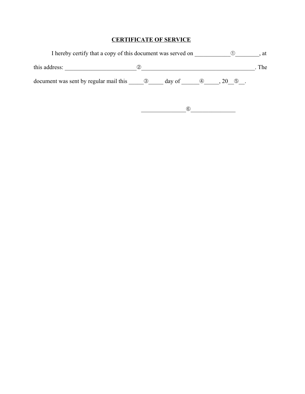#### **CERTIFICATE OF SERVICE**

| I hereby certify that a copy of this document was served on |     |        |     |                | at  |
|-------------------------------------------------------------|-----|--------|-----|----------------|-----|
| this address:                                               | (2  |        |     |                | The |
| document was sent by regular mail this                      | (3) | day of | (4) | $\circ$<br>ZO. |     |

 $\underbrace{\hspace{2.5cm} \circledcirc \hspace{2.2cm} \cdots \hspace{2.2cm} \cdots \hspace{2.2cm}}_{\hspace{2.0pt} 0 \hspace{2.3cm} \cdots \hspace{2.3cm}}$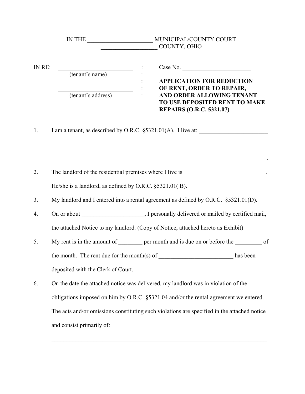|        |                                                                                                                                 | COUNTY, OHIO                                                                                                                                                                                                                                                               |
|--------|---------------------------------------------------------------------------------------------------------------------------------|----------------------------------------------------------------------------------------------------------------------------------------------------------------------------------------------------------------------------------------------------------------------------|
| IN RE: | (tenant's name)<br>(tenant's address)                                                                                           | Case No.<br><b>APPLICATION FOR REDUCTION</b><br>OF RENT, ORDER TO REPAIR,<br>AND ORDER ALLOWING TENANT<br>TO USE DEPOSITED RENT TO MAKE<br><b>REPAIRS (O.R.C. 5321.07)</b>                                                                                                 |
| 1.     |                                                                                                                                 | I am a tenant, as described by O.R.C. §5321.01(A). I live at:                                                                                                                                                                                                              |
| 2.     |                                                                                                                                 |                                                                                                                                                                                                                                                                            |
| 3.     | He/she is a landlord, as defined by O.R.C. §5321.01(B).                                                                         | My landlord and I entered into a rental agreement as defined by O.R.C. §5321.01(D).                                                                                                                                                                                        |
| 4.     |                                                                                                                                 |                                                                                                                                                                                                                                                                            |
| 5.     | the attached Notice to my landlord. (Copy of Notice, attached hereto as Exhibit)<br>the month. The rent due for the month(s) of | My rent is in the amount of <u>equal permonth</u> and is due on or before the <u>equal</u> of<br>has been                                                                                                                                                                  |
|        | deposited with the Clerk of Court.                                                                                              |                                                                                                                                                                                                                                                                            |
| 6.     |                                                                                                                                 | On the date the attached notice was delivered, my landlord was in violation of the<br>obligations imposed on him by O.R.C. §5321.04 and/or the rental agreement we entered.<br>The acts and/or omissions constituting such violations are specified in the attached notice |
|        |                                                                                                                                 |                                                                                                                                                                                                                                                                            |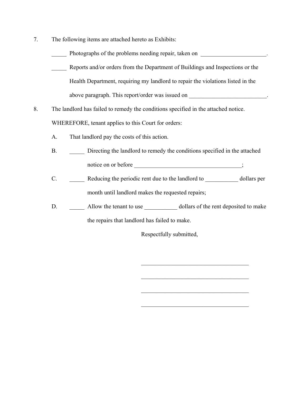- 7. The following items are attached hereto as Exhibits:
	- Photographs of the problems needing repair, taken on \_\_\_\_\_\_\_\_\_\_\_\_\_\_\_\_\_\_\_\_.
	- Reports and/or orders from the Department of Buildings and Inspections or the Health Department, requiring my landlord to repair the violations listed in the above paragraph. This report/order was issued on \_\_\_\_\_\_\_\_\_\_\_\_\_\_\_\_\_\_\_\_\_\_\_\_\_.
- 8. The landlord has failed to remedy the conditions specified in the attached notice. WHEREFORE, tenant applies to this Court for orders:
	- A. That landlord pay the costs of this action.
	- B. \_\_\_\_\_ Directing the landlord to remedy the conditions specified in the attached notice on or before \_\_\_\_\_\_\_\_\_\_\_\_\_\_\_\_\_\_\_\_\_\_\_\_\_\_\_\_\_\_;
	- C. \_\_\_\_\_ Reducing the periodic rent due to the landlord to \_\_\_\_\_\_\_\_\_\_\_ dollars per month until landlord makes the requested repairs;
	- D. Allow the tenant to use  $\qquad \qquad$  dollars of the rent deposited to make the repairs that landlord has failed to make.

Respectfully submitted,

 $\mathcal{L}_\text{max}$  , where  $\mathcal{L}_\text{max}$  and  $\mathcal{L}_\text{max}$  and  $\mathcal{L}_\text{max}$ 

 $\mathcal{L}_\text{max}$ 

 $\mathcal{L}_\text{max}$  , where  $\mathcal{L}_\text{max}$  and  $\mathcal{L}_\text{max}$  and  $\mathcal{L}_\text{max}$ 

 $\mathcal{L}_\text{max}$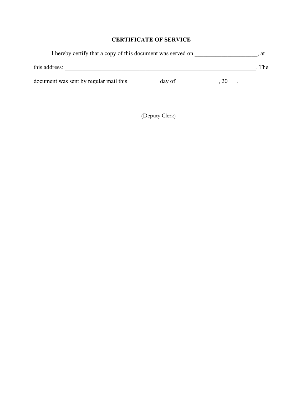#### **CERTIFICATE OF SERVICE**

| I hereby certify that a copy of this document was served on |        |  |       |  |  |
|-------------------------------------------------------------|--------|--|-------|--|--|
| this address:                                               |        |  | . The |  |  |
| document was sent by regular mail this                      | day of |  |       |  |  |

(Deputy Clerk)

 $\mathcal{L}_\text{max}$  , where  $\mathcal{L}_\text{max}$  and  $\mathcal{L}_\text{max}$  and  $\mathcal{L}_\text{max}$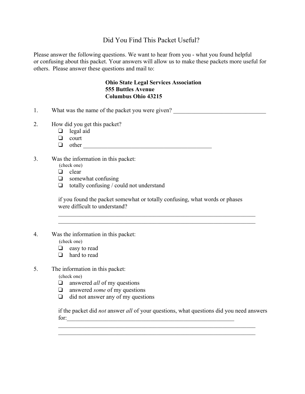#### Did You Find This Packet Useful?

Please answer the following questions. We want to hear from you - what you found helpful or confusing about this packet. Your answers will allow us to make these packets more useful for others. Please answer these questions and mail to:

#### **Ohio State Legal Services Association 555 Buttles Avenue Columbus Ohio 43215**

- 1. What was the name of the packet you were given?
- 2. How did you get this packet?
	- $\Box$  legal aid
	- $\Box$  court
	- v other \_\_\_\_\_\_\_\_\_\_\_\_\_\_\_\_\_\_\_\_\_\_\_\_\_\_\_\_\_\_\_\_\_\_\_\_\_\_\_\_\_\_\_
- 3. Was the information in this packet:
	- (check one)
	- $\Box$  clear
	- $\Box$  somewhat confusing
	- $\Box$  totally confusing / could not understand

if you found the packet somewhat or totally confusing, what words or phases were difficult to understand?

 $\mathcal{L}_\mathcal{L} = \{ \mathcal{L}_\mathcal{L} = \{ \mathcal{L}_\mathcal{L} = \{ \mathcal{L}_\mathcal{L} = \{ \mathcal{L}_\mathcal{L} = \{ \mathcal{L}_\mathcal{L} = \{ \mathcal{L}_\mathcal{L} = \{ \mathcal{L}_\mathcal{L} = \{ \mathcal{L}_\mathcal{L} = \{ \mathcal{L}_\mathcal{L} = \{ \mathcal{L}_\mathcal{L} = \{ \mathcal{L}_\mathcal{L} = \{ \mathcal{L}_\mathcal{L} = \{ \mathcal{L}_\mathcal{L} = \{ \mathcal{L}_\mathcal{$  $\mathcal{L}_\text{max} = \mathcal{L}_\text{max} = \mathcal{L}_\text{max} = \mathcal{L}_\text{max} = \mathcal{L}_\text{max} = \mathcal{L}_\text{max} = \mathcal{L}_\text{max} = \mathcal{L}_\text{max} = \mathcal{L}_\text{max} = \mathcal{L}_\text{max} = \mathcal{L}_\text{max} = \mathcal{L}_\text{max} = \mathcal{L}_\text{max} = \mathcal{L}_\text{max} = \mathcal{L}_\text{max} = \mathcal{L}_\text{max} = \mathcal{L}_\text{max} = \mathcal{L}_\text{max} = \mathcal{$ 

4. Was the information in this packet:

(check one)

- $\Box$  easy to read
- $\Box$  hard to read
- 5. The information in this packet:

(check one)

- $\Box$  answered *all* of my questions
- $\Box$  answered *some* of my questions
- $\Box$  did not answer any of my questions

if the packet did *not* answer *all* of your questions, what questions did you need answers for:

 $\mathcal{L}_\mathcal{L} = \mathcal{L}_\mathcal{L} = \mathcal{L}_\mathcal{L} = \mathcal{L}_\mathcal{L} = \mathcal{L}_\mathcal{L} = \mathcal{L}_\mathcal{L} = \mathcal{L}_\mathcal{L} = \mathcal{L}_\mathcal{L} = \mathcal{L}_\mathcal{L} = \mathcal{L}_\mathcal{L} = \mathcal{L}_\mathcal{L} = \mathcal{L}_\mathcal{L} = \mathcal{L}_\mathcal{L} = \mathcal{L}_\mathcal{L} = \mathcal{L}_\mathcal{L} = \mathcal{L}_\mathcal{L} = \mathcal{L}_\mathcal{L}$